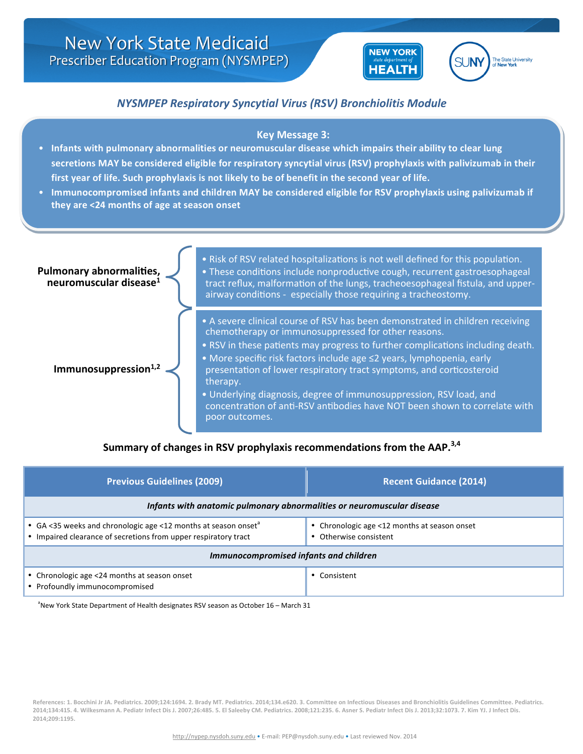



## *NYSMPEP Respiratory Syncytial Virus (RSV) Bronchiolitis Module*

## **Key Message 3:**

- Infants with pulmonary abnormalities or neuromuscular disease which impairs their ability to clear lung secretions MAY be considered eligible for respiratory syncytial virus (RSV) prophylaxis with palivizumab in their first year of life. Such prophylaxis is not likely to be of benefit in the second year of life.
- Immunocompromised infants and children MAY be considered eligible for RSV prophylaxis using palivizumab if **they are <24 months of age at season onset**

| Pulmonary abnormalities,<br>neuromuscular disease <sup>1</sup> | . Risk of RSV related hospitalizations is not well defined for this population.<br>• These conditions include nonproductive cough, recurrent gastroesophageal<br>tract reflux, malformation of the lungs, tracheoesophageal fistula, and upper-<br>airway conditions - especially those requiring a tracheostomy.                                                                                                                                                                                                                                             |
|----------------------------------------------------------------|---------------------------------------------------------------------------------------------------------------------------------------------------------------------------------------------------------------------------------------------------------------------------------------------------------------------------------------------------------------------------------------------------------------------------------------------------------------------------------------------------------------------------------------------------------------|
| Immunosuppression $1,2$                                        | • A severe clinical course of RSV has been demonstrated in children receiving<br>chemotherapy or immunosuppressed for other reasons.<br>• RSV in these patients may progress to further complications including death.<br>• More specific risk factors include age $\leq$ years, lymphopenia, early<br>presentation of lower respiratory tract symptoms, and corticosteroid<br>therapy.<br>• Underlying diagnosis, degree of immunosuppression, RSV load, and<br>concentration of anti-RSV antibodies have NOT been shown to correlate with<br>poor outcomes. |

Summary of changes in RSV prophylaxis recommendations from the AAP.<sup>3,4</sup>

| <b>Previous Guidelines (2009)</b>                                                                                                             | <b>Recent Guidance (2014)</b>                                          |  |  |  |  |  |
|-----------------------------------------------------------------------------------------------------------------------------------------------|------------------------------------------------------------------------|--|--|--|--|--|
| Infants with anatomic pulmonary abnormalities or neuromuscular disease                                                                        |                                                                        |  |  |  |  |  |
| • GA <35 weeks and chronologic age <12 months at season onset <sup>a</sup><br>• Impaired clearance of secretions from upper respiratory tract | • Chronologic age <12 months at season onset<br>• Otherwise consistent |  |  |  |  |  |
| Immunocompromised infants and children                                                                                                        |                                                                        |  |  |  |  |  |
| • Chronologic age <24 months at season onset<br>• Profoundly immunocompromised                                                                | • Consistent                                                           |  |  |  |  |  |

a a shekara ta 1970  $^{\circ}$ New York State Department of Health designates RSV season as October 16 - March 31

References: 1. Bocchini Jr JA. Pediatrics. 2009;124:1694. 2. Brady MT. Pediatrics. 2014;134.e620. 3. Committee on Infectious Diseases and Bronchiolitis Guidelines Committee. Pediatrics. 2014;134:415. 4. Wilkesmann A. Pediatr Infect Dis J. 2007;26:485. 5. El Saleeby CM. Pediatrics. 2008;121:235. 6. Asner S. Pediatr Infect Dis J. 2013;32:1073. 7. Kim YJ. J Infect Dis. **2014;209:1195.**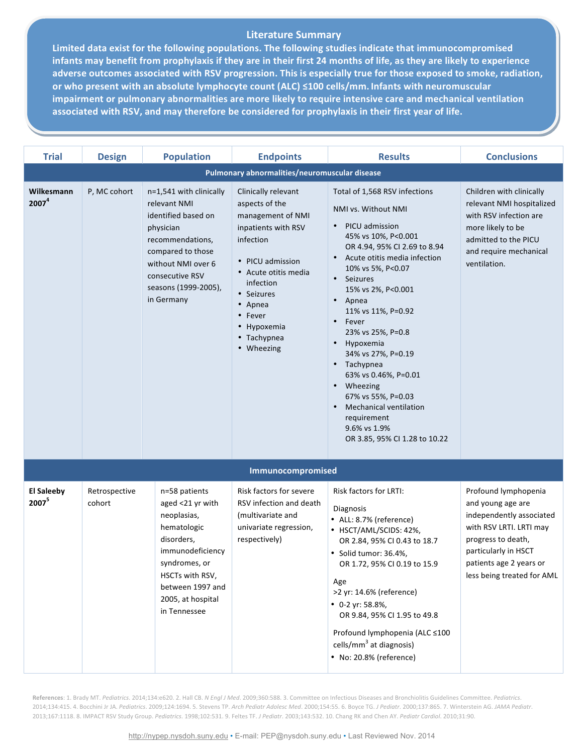## **Literature Summary**

Limited data exist for the following populations. The following studies indicate that immunocompromised infants may benefit from prophylaxis if they are in their first 24 months of life, as they are likely to experience adverse outcomes associated with RSV progression. This is especially true for those exposed to smoke, radiation, **or** who present with an absolute lymphocyte count (ALC) ≤100 cells/mm. Infants with neuromuscular impairment or pulmonary abnormalities are more likely to require intensive care and mechanical ventilation associated with RSV, and may therefore be considered for prophylaxis in their first year of life.

| <b>Trial</b>                    | <b>Design</b>           | <b>Population</b>                                                                                                                                                                                   | <b>Endpoints</b>                                                                                                                                                                                                                                                                         | <b>Results</b>                                                                                                                                                                                                                                                                                                                                                                                                                                                                                                                                         | <b>Conclusions</b>                                                                                                                                                                                      |
|---------------------------------|-------------------------|-----------------------------------------------------------------------------------------------------------------------------------------------------------------------------------------------------|------------------------------------------------------------------------------------------------------------------------------------------------------------------------------------------------------------------------------------------------------------------------------------------|--------------------------------------------------------------------------------------------------------------------------------------------------------------------------------------------------------------------------------------------------------------------------------------------------------------------------------------------------------------------------------------------------------------------------------------------------------------------------------------------------------------------------------------------------------|---------------------------------------------------------------------------------------------------------------------------------------------------------------------------------------------------------|
| Wilkesmann<br>2007 <sup>4</sup> | P, MC cohort            | n=1,541 with clinically<br>relevant NMI<br>identified based on<br>physician<br>recommendations,<br>compared to those<br>without NMI over 6<br>consecutive RSV<br>seasons (1999-2005),<br>in Germany | Pulmonary abnormalities/neuromuscular disease<br>Clinically relevant<br>aspects of the<br>management of NMI<br>inpatients with RSV<br>infection<br>• PICU admission<br>• Acute otitis media<br>infection<br>• Seizures<br>• Apnea<br>• Fever<br>• Hypoxemia<br>• Tachypnea<br>• Wheezing | Total of 1,568 RSV infections<br>NMI vs. Without NMI<br>PICU admission<br>$\bullet$<br>45% vs 10%, P<0.001<br>OR 4.94, 95% CI 2.69 to 8.94<br>Acute otitis media infection<br>10% vs 5%, P<0.07<br>• Seizures<br>15% vs 2%, P<0.001<br>• Apnea<br>11% vs 11%, P=0.92<br>Fever<br>$\bullet$<br>23% vs 25%, P=0.8<br>Hypoxemia<br>$\bullet$<br>34% vs 27%, P=0.19<br>Tachypnea<br>$\bullet$<br>63% vs 0.46%, P=0.01<br>• Wheezing<br>67% vs 55%, P=0.03<br><b>Mechanical ventilation</b><br>requirement<br>9.6% vs 1.9%<br>OR 3.85, 95% CI 1.28 to 10.22 | Children with clinically<br>relevant NMI hospitalized<br>with RSV infection are<br>more likely to be<br>admitted to the PICU<br>and require mechanical<br>ventilation.                                  |
|                                 |                         |                                                                                                                                                                                                     | Immunocompromised                                                                                                                                                                                                                                                                        |                                                                                                                                                                                                                                                                                                                                                                                                                                                                                                                                                        |                                                                                                                                                                                                         |
| <b>El Saleeby</b><br>20075      | Retrospective<br>cohort | n=58 patients<br>aged <21 yr with<br>neoplasias,<br>hematologic<br>disorders,<br>immunodeficiency<br>syndromes, or<br>HSCTs with RSV,<br>between 1997 and<br>2005, at hospital<br>in Tennessee      | Risk factors for severe<br>RSV infection and death<br>(multivariate and<br>univariate regression,<br>respectively)                                                                                                                                                                       | Risk factors for LRTI:<br><b>Diagnosis</b><br>• ALL: 8.7% (reference)<br>• HSCT/AML/SCIDS: 42%,<br>OR 2.84, 95% CI 0.43 to 18.7<br>· Solid tumor: 36.4%,<br>OR 1.72, 95% CI 0.19 to 15.9<br>Age<br>>2 yr: 14.6% (reference)<br>$\cdot$ 0-2 yr: 58.8%,<br>OR 9.84, 95% CI 1.95 to 49.8<br>Profound lymphopenia (ALC ≤100<br>cells/mm <sup>3</sup> at diagnosis)<br>• No: 20.8% (reference)                                                                                                                                                              | Profound lymphopenia<br>and young age are<br>independently associated<br>with RSV LRTI. LRTI may<br>progress to death,<br>particularly in HSCT<br>patients age 2 years or<br>less being treated for AML |

References: 1. Brady MT. Pediatrics. 2014;134:e620. 2. Hall CB. *N Engl J Med.* 2009;360:588. 3. Committee on Infectious Diseases and Bronchiolitis Guidelines Committee. Pediatrics. 2014;134:415. 4. Bocchini Jr JA. *Pediatrics*. 2009;124:1694. 5. Stevens TP. *Arch Pediatr Adolesc Med*. 2000;154:55. 6. Boyce TG. *J Pediatr*. 2000;137:865. 7. Winterstein AG. *JAMA Pediatr*. 2013;167:1118. 8. IMPACT RSV Study Group. *Pediatrics*. 1998;102:531. 9. Feltes TF. *J Pediatr*. 2003;143:532. 10. Chang RK and Chen AY. *Pediatr Cardiol*. 2010;31:90.